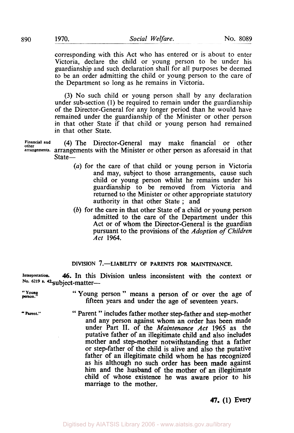corresponding with this Act who has entered or is about to enter Victoria, declare the child or young person to be under his guardianship and such declaration shall for all purposes be deemed to be an order admitting the child or young person to the care of the Department so long as he remains in Victoria.

(3) No such child or young person shall by any declaration under sub-section (1) be required to remain under the guardianship of the Director-General for any longer period than he would have remained under the guardianship of the Minister or other person in that other State if that child or young person had remained in that other State.

Financial and (4) The Director-General may make financial or other **other arrangements.** arrangements with the Minister or other person as aforesaid in that State-

- *(a)* for the care of that child or young person in Victoria and may, subject to those arrangements, cause such child or young person whilst he remains under his guardianship to be removed from Victoria and returned to the Minister or other appropriate statutory authority in that other State ; and
- (b) for the care in that other State of a child or young person admitted to the care of the Department under this Act or of whom the Director-General is the guardian pursuant to the provisions of the *Adoption of Children Act* **1964.**

## **DIVISION 7.-LIABILITY OF PARENTS FOR MAINTENANCE.**

**Interpretation.** *46.* In this Division unless inconsistent with the context or No. 6219 **s. 42-subject-matter---**

- "Young" "Young person" means a person of or over the age of fifteen years and under the age of seventeen years.
- " Parent." <sup>"</sup> Parent " includes father mother step-father and step-mother and any person against whom an order has been made under Part II. of the *Maintenance Act* **1965** as the putative father of an illegitimate child and also includes mother and step-mother notwithstanding that a father or step-father of the child is alive and also the putative father of an illegitimate child whom he has recognized as his although no such order has been made against him and the husband of the mother of an illegitimate child of whose existence he was aware prior to his marriage to the mother.

## *47.* **(1) Every**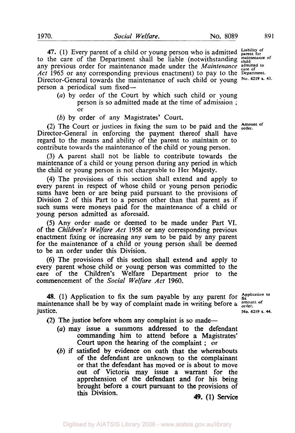**47.** (1) Every parent of a child or young person who is admitted **Liability of parent for**  to the care of the Department shall be liable (notwithstanding maintenance of any previous order for maintenance made under the *Maintenance admitted to care of Act* **1965** or any corresponding previous enactment) to pay to the **Department.**  Director-General towards the maintenance of such child or young **No. 43.**  person a periodical sum fixed-

*(a)* by order of the Court by which such child or young person is so admitted made at the time of admission ; or

*(b)* by order of any Magistrates' Court.

(2) The Court or justices in fixing the sum to be paid and the **Amount of order.**  Director-General in enforcing the payment thereof shall have regard to the means and ability of the parent to maintain or to contribute towards the maintenance of the child or young person.

(3) **A** parent shall not be liable to contribute towards the maintenance of a child or young person during any period in which the child or young person is not chargeable to Her Majesty.

**(4)** The provisions of this section shall extend and apply to every parent in respect of whose child or young person periodic sums have been or are being paid pursuant to the provisions of Division 2 **of** this Part to a person other than that parent **as** if such sums were moneys paid for the maintenance of a child or young person admitted as aforesaid.

*(5)* Any order made or deemed to be made under Part VI. of the *Children's Welfare Act* **1958** or any corresponding previous enactment fixing or increasing any sum to be paid by any parent for the maintenance **of** a child or young person shall be deemed to be an order under this Division.

**(6)** The provisions **of** this section shall extend and apply to every parent whose child or young person was committed to the care of the Children's Welfare Department prior to the commencement **of** the *Social Welfare Act* **1960.** 

**48.** (1) Application to fix the sum payable by any parent for  $\frac{Application}{fix}$  to  $\frac{application}{fix}$ maintenance shall be by way of complaint made in writing before a amount  $\frac{1}{2}$  is tice. **No. 6219 s.** 44.

**(2)** The justice before whom any complaint is so made-

- *(a)* may issue a summons addressed to the defendant commanding him to attend before a Magistrates' Court upon the hearing of the complaint ; or
- *(b)* **if** satisfied by evidence on oath that the whereabouts of the defendant are unknown to the complainant or that the defendant has moved or is about to move out of Victoria may issue a warrant for the apprehension **of** the defendant and for his being brought before a court pursuant to the provisions of this Division. **49.** (1) Service.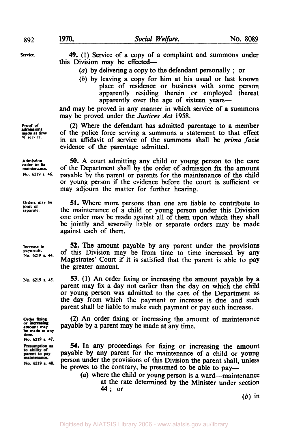**Service. 49. (1)** Service of a copy of a complaint and summons under **this** Division may be effected-

*(a)* by delivering a copy to the defendant personally ; or

(b) by leaving a copy for him at his usual or last **known**  place of residence or business with some person apparently residing therein or employed thereat apparently over the age of sixteen years-

and may be proved in any manner in which service of a summons may be proved under the *Justices Act* **1958.** 

(2) Where the defendant has admitted parentage to a member of the police force serving a summons a statement to that effect in an affidavit of service of the summons shall be prima *facie*  evidence of the parentage admitted.

**Admission** *50.* **A** court admitting any child or young person to the care maintenance. of the Department shall by the order of admission fix the amount<br>No. 6219 s. 46. navable by the parent or parents for the maintenance of the child payable by the parent or parents for the maintenance of the child or young person if the evidence before the court is sufficient or may adjourn the matter for further hearing.

> **51.** Where more persons than one are liable to contribute **to**  the maintenance of a child or young person under this Division one order may be made against all of them upon which they shall be jointly and severally liable or separate orders may be made against each of them.

Increase in 52. The amount payable by any parent under the provisions payments. **No. payments. 6219 s.** *U.* of this Division may be from time to time increased by any Magistrates' Court if it is satisfied that the parent is able **to** pay the greater amount.

> **53. (1)** An order fixing or increasing the amount payable by a parent may fix a day not earlier than the day on which the child or young person was admitted to the care of the Department **as**  the day from which the payment or increase is due and such parent shall be liable to make such payment or pay such increase.

> (2) An order fixing or increasing the amount of maintenance payable by a parent may be made at any time.

> *54.* **In** any proceedings for fixing or increasing the amount payable by any parent for the maintenance of a child or young person under the provisions of this Division the parent shall, unless he proves **to** the contrary, be presumed to be able to pay-

*(a)* where the child or young person is a ward-maintenance at the rate determined by the Minister under section **44;** or

 $(b)$  in

**Proof of made at time admissions of service.** 

**order to fix** 

**Orders may be separate. joint or** 

**No. 6219 s. 45.** 

**order fixing or amount may be made at any time. No. 6219 i.** *47.* 

to ability of<br>parent to pay *naintenance.* No. 6219 s. 48.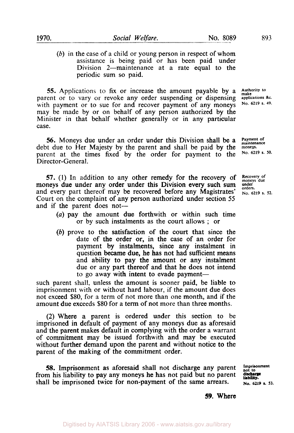*(b)* in the case of a child or young person in respect of whom assistance is being paid or has been paid under Division 2—maintenance at a rate equal to the periodic sum so paid.

*55.* Applications to fix or increase the amount payable by a  $\frac{\text{multi}}{\text{make}}$  parent or to vary or revoke any order suspending or dispensing applications *&c.* parent or to vary or revoke any order suspending or dispensing applications &c. with payment or to sue for and recover payment of any moneys No. 6219 s. 49. may be made by or on behalf of any person authorized by the Minister in that behalf whether generally or in any particular case.

**56.** Moneys due under an order under this Division shall be a **Payment of** debt due to Her Majesty by the parent and shall be paid by the moneys. <br> **PARENT DEPENDENT OF A PARENT DEPARENT OF A PARENT AND SOLUP SET AND SOLU** parent at the times fixed by the order for payment to the Director-General.

**57.** (1) In addition to any other remedy for the recovery of Recovery of news due under any order under this Division every such sum under and moneys due under any order under this Division every such sum under and every part thereof may be recovered before any Magistrates' No. 6219 s. 52. Court on the complaint of any person authorized under section *55*  and if the parent does not-

- *(a)* pay the amount due forthwith or within such time or by such instalments as the court allows ; or
- *(b)* prove to the satisfaction of the court that since the date of the order or, in the case of an order for payment by instalments, since any instalment in question became due, **he** has not had sufficient means and ability to pay the amount or any instalment due or any part thereof and that he does not intend to go away with intent to evade payment—

such parent shall, unless the amount is sooner paid, be liable to imprisonment with or without hard labour, if the amount due does not exceed \$80, for a term of not more than one month, and if the amount due exceeds \$80 for a term of not more than three months.

**(2)** Where a parent is ordered under this section to be imprisoned in default of payment of any moneys due as aforesaid and the parent makes default in complying with the order a warrant of commitment may be issued forthwith and may be executed without further demand upon the parent and without notice to the parent of the making of the commitment order.

*58.* Imprisonment as aforesaid shall not discharge any parent from his liability to pay any moneys he has not paid but no parent shall be imprisoned twice for non-payment of the same arrears.

Imprisonment not to<br>discharge liability. **No.** *6219* s. **53.** 

*59.* Where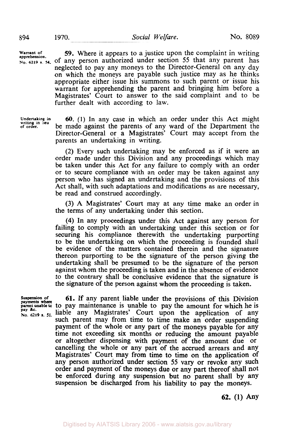**Warrant of apprehension.** 

**894** 

No. 6219 s. 54, of any person authorized under section 55 that any parent has *59.* Where it appears to a justice upon the complaint in writing neglected to pay any moneys to the Director-General on any day on which the moneys are payable such justice may as he thinks appropriate either issue his summons to such parent or issue his warrant for apprehending the parent and bringing him before a Magistrates' Court to answer to the said complaint and to be further dealt with according to law.

**Undertaking in writing in lieu of order.** 

*60.* (1) In any case in which an order under this Act might be made against the parents of any ward of the Department the Director-General or a Magistrates' Court may accept from the parents an undertaking in writing.

(2) Every such undertaking may be enforced as if it were an order made under this Division and any proceedings which may be taken under this Act for any failure to comply with an order or to secure compliance with an order may be taken against any person who has signed an undertaking and the provisions of this Act shall, with such adaptations and modifications as are necessary, be read and construed accordingly.

**(3)** A Magistrates' Court may at any time make an order in the terms of any undertaking under this section.

**(4)** In any proceedings under this Act against any person for failing to comply with an undertaking under this section or for securing his compliance therewith the undertaking purporting to be the undertaking on which the proceeding is founded shall be evidence of the matters contained therein and the signature thereon purporting to be the signature of the person giving the undertaking shall be presumed to be the signature of the person against whom the proceeding is taken and in the absence of evidence to the contrary shall be conclusive evidence that the signature is the signature of the person against whom the proceeding is taken.

**Suspension of payments where pay** &c. **No. 6219 s. 51.** 

**parent unable to** to pay maintenance is unable to pay the amount for which he is **61.** If any parent liable under the provisions of this Division liable any Magistrates' Court upon the application of any such parent may from time to time make an order suspending payment of the whole or any part of the moneys payable for any time not exceeding six months **or** reducing the amount payable or altogether dispensing with payment of the amount due or cancelling the whole or any part of the accrued arrears and any Magistrates' Court may from time to time on the application of any person authorized under section 55 vary or revoke any such order and payment of the moneys due or any part thereof shall not be enforced during any suspension but no parent shall by any suspension be discharged from his liability to pay the moneys.

**62. (1)** Any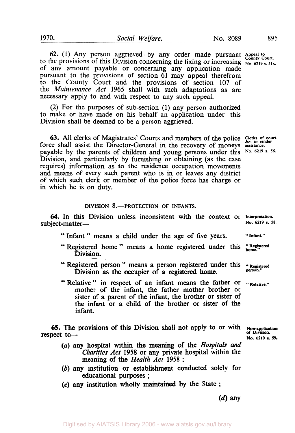to the provisions of this Division concerning the fixing or increasing No. 6219 s. 51A. of any amount payable or concerning any application made **62.** (1) Any person aggrieved by any order made pursuant  $\frac{\text{Appeak to}}{\text{Country Court.}}$ pursuant to the provisions of section **61** may appeal therefrom to the County Court and the provisions of section **107** of the *Maintenance Act* **1965** shall with such adaptations as are necessary apply to and with respect to any such appeal.

(2) For the purposes of sub-section **(1)** any person authorized to make or have made on his behalf an application under this Division shall be deemed to be a person aggrieved.

63. All clerks of Magistrates' Courts and members of the police **Clerks of court &c. to render**  force shall assist the Director-General in the recovery of moneys **assistance.**  payable by the parents of children and young persons under this **No. 6219 s. 56.**  Division, and particularly by furnishing or obtaining (as the case requires) information as to the residence occupation movements and means of every such parent who is in or leaves any district of which such clerk or member of the police force has charge or in which he is on duty.

## DIVISION **8.-PROTECTION** OF **INFANTS.**

**64.** In this Division unless inconsistent with the context or Interpretation.<br>
No. 6219 s. 58. subject-matter-

- " Infant " means a child under the age of five years. " **Infant."**
- " Registered home" means **a** home registered under this **"Registered home."**  Division.
- " Registered person " means a person registered under this "Registered Division as the occupier of a registered home.
- " Relative " in respect of an infant means the father or "Relative." mother of the infant, the father mother brother or sister of **a** parent of the infant, the brother or sister of the infant or a child of the brother or sister of the infant.

**65.** The provisions of this Division shall not apply to or with **No. 6219 s. 59.** respect to-

- *(a)* any hospital within the meaning of the *Hospitals and Charities Act* **1958** or any private hospital within the meaning of the *Health Act* **1958** ;
- (b) any institution or establishment conducted solely for educational purposes ;
- **(c)** any institution wholly maintained by **the** State ;

**(d)** any

**of Division.**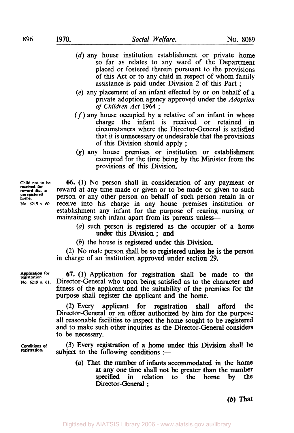**896 1970.** *Social Welfare.* **No. 8089** 

- (d) any house institution establishment or private home so far as relates to any ward of the Department placed or fostered therein pursuant to the provisions of this Act or to any child in respect of whom family assistance is paid under Division 2 of this Part ;
- *(e)* any placement of an infant effected by or on behalf of a private adoption agency approved under the Adoption *of Children Act* **<sup>1964</sup>**;
- $(f)$  any house occupied by a relative of an infant in whose charge the infant is received or retained circumstances where the Director-General is satisfied that it is unnecessary or undesirable that the provisions of this Division should apply ;
- **(g)** any house premises or institution or establishment exempted for the time being by the Minister from the provisions of this Division.

**Child not to be** 66. **(1)** No person shall in consideration of any payment or **reward** *&c.* in reward at any time made or given or to be made or given to such person or any other person on behalf of such person retain in or **NO. 6219 s. 60.** receive into his charge in any house premises institution or establishment any infant for the purpose of rearing nursing or maintaining such infant apart from its parents unless—

- *(a)* such person is registered as the occupier of a home under this Division ; and
- (b) the house is registered under this Division.

(2) No male person shall be **so** registered unless he is the person in charge of an institution approved under section 29.

**Application** for 67. (1) Application for registration shall be made to the **NO. 6219 S. 61.** Director-General who upon being satisfied as to the character and fitness of the applicant and the suitability of the premises for the purpose shall register the applicant and the home.

> (2) Every applicant for registration shall afford the Director-General or an officer authorized by him for the purpose all reasonable facilities to inspect the home sought to be registered and to make such other inquiries as the Director-General considers to be necessary.

> (3) Every registration **of a** home under this Division shall be subject to the following conditions  $:$

*(a)* That the number of infants accommodated in the home at any one time shall not be greater than the number specified in relation to the home by the Director-General:

*(b)* **That** 

**received for unregistered home.** 

**Conditions** *of*  **registration.**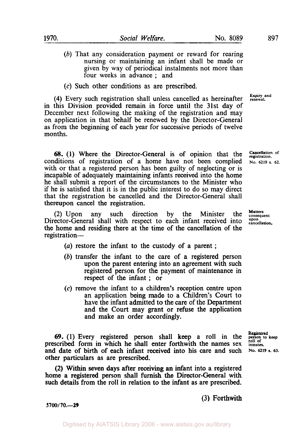(b) That any consideration payment or reward for rearing nursing **or** maintaining an infant shall be made or given by way of periodical instalments not more than four weeks in advance ; and

(c) Such other conditions as are prescribed.

**Expiry and (4)** Every such registration shall unless cancelled as hereinafter **renewal.**  in this Division provided remain in force until the 31st day of December next following the making of the registration and may on application in that behalf be renewed by the Director-General as from the beginning of each year for successive periods of twelve months.

**68.** (1) Where the Director-General is of opinion that the **Cancellation** of ditions of registration of a home have not been complied No. 6219 s. 62. conditions of registration of a home have not been complied with or that a registered person has been guilty of neglecting or is incapable of adequately maintaining infants received into the home he shall submit a report of the circumstances to the Minister who if he is satisfied that it is in the public interest to do so may direct that the registration be cancelled and the Director-General shall thereupon cancel the registration.

Director-General shall with respect to each infant received into **upon cancellation.** the home and residing there at the time of the cancellation of the registration-(2) Upon any such direction by the Minister the **Matters** 

- (a) restore the infant to the custody of a parent ;
- (b) transfer the infant to the care of a registered person upon the parent entering into an agreement **with** such registered person for the payment of maintenance in respect of the infant ; or
- *(c)* remove the infant to a children's reception centre upon an application being made to a Children's Court to have the infant admitted to the care of the Department and the **Court** may grant or refuse the application and make an order accordingly.

**Registered** *69.* (1) Every registered person shall keep a roll in the person roll of **to keep**  prescribed form in which he shall enter forthwith the names sex **indicates**.<br>and date of birth of each infant received into his care and such No. 6219 s. 63. and date of birth of each infant received into his care and such other particulars as are prescribed.

**(2)** Within seven days after receiving **an** infant into a registered home a registered person shall furnish the Director-General with such details from the roll in relation **to** the infant as are prescribed.

(3) Forthwith

*5700/70.-29*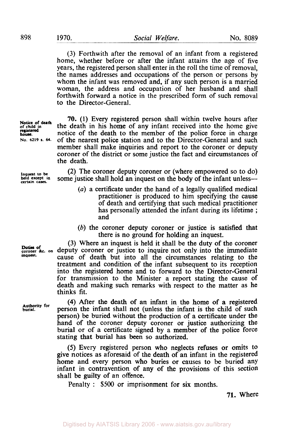(3) Forthwith after the removal of an infant from a registered home, whether before or after the infant attains the age of five years, the registered person shall enter in the roll the time of removal, the names addresses and occupations of the person or persons by whom the infant was removed and, if any such person is a married woman, the address and occupation of her husband and shall forthwith forward a notice in the prescribed form of such removal to the Director-General.

**Notice of death 70. (1)** Every registered person shall within twelve hours after the death in his home of any infant received into the home give registered in ortice of the death to the member of the police force in charge **No. 6219** s. 64. of the nearest police station and to the Director-General and such **NO.** *6219* **s. 64.** of the nearest police station and to the Director-General and such member shall make inquiries and report to the coroner or deputy coroner of the district or some justice the fact and circumstances of the death.

> (2) The coroner deputy coroner or (where empowered so to do) some justice shall hold an inquest on the body of the infant unless-

- (a) a certificate under the hand of a legally qualified medical practitioner is produced to him specifying the cause of death and certifying that such medical practitioner has personally attended the infant during its lifetime; and
- (b) the coroner deputy coroner or justice is satisfied that there is no ground for holding an inquest.

(3) Where an inquest is held it shall be the duty of the coroner Duties of **coroner** &c. on deputy coroner or justice to inquire not only into the immediate cause of death but into all the circumstances relating to the treatment and condition of the infant subsequent to its reception into the registered home and to forward to the Director-General for transmission to the Minister a report stating the cause of death and making such remarks with respect to the matter as he thinks fit.

> **(4)** After the death of an infant in the home of *a* registered person the infant shall not (unless the infant is the child of such person) be buried without the production of a certificate under the hand of the coroner deputy coroner or justice authorizing the burial or of a certificate signed by a member of the police force stating that burial has **been** so authorized.

*(5)* Every registered person who neglects refuses or omits to give notices as aforesaid of the death of an infant in the registered home and every person **who** buries or causes to be buried any infant in contravention of any of the provisions of this section shall be guilty of an offence.

Penalty : \$500 or imprisonment for six months.

**71.** Where

of child in<br>registered<br>house.

**Inquest to be**<br>**held except in** 

**inquest.** 

**Authority for burial.**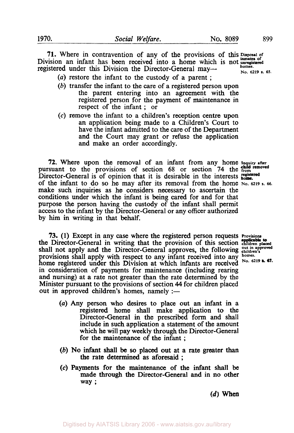**71.** Where in contravention of any of the provisions of this **Disposal of**  Division an infant has been received into a home which is not **unregistered inmates of homes. normal registered under this Division the Director-General may-<br>No. 6219 <b>s.** 65.

- *(a)* restore the infant to the custody of a parent ;
- (b) transfer the infant to the care of a registered person upon the parent entering into an agreement with the registered person for the payment of maintenance in respect of the infant ; or
- **(c)** remove the infant to a children's reception centre upon an application being made to a Children's Court to have the infant admitted to the care of the Department and the Court may grant or refuse the application and make an order accordingly.

**72.** Where upon the removal of an infant from any home **Inquiry after**  pursuant to the provisions of section 68 or section 74 the **child removed** Director-General is of opinion that it is desirable in the interests bome. of the infant to do so he may after its removal from the home No. 6219 s. 66. **make** such inquiries as he considers necessary to ascertain the conditions under which the infant is being cared for and for that purpose the person having the custody of the infant shall permit access to the infant by the Director-General or any officer authorized by him in writing in that behalf.

**73. (1)** Except in any case where the registered person requests **Provisions**  the Director-General in writing that the provision of this section **children placed applicable to**  shall not apply and the Director-General approves, the following **out in approved children's**  provisions shall apply with respect to any infant received into any **homes.** home registered under this Division at which infants are received No. 6219 **a.** 67. in consideration of payments for maintenance (including rearing and nursing) at a rate not greater than the rate determined by the Minister pursuant to the provisions of section **44** for children placed out in approved children's homes, namely  $:$ 

- 
- (a) Any person who desires to place out an infant in a registered home shall make application to the Director-General in the prescribed **form** and shall include in such application a statement of the amount which he will pay weekly through the Director-General for the maintenance of the infant ;
- (b) **No infant** shall be *so* placed out at a rate greater than the rate determined as aforesaid;
- *(c)* Payments for the maintenance of the infant shall be made through the Director-General and in no other way ;

 $(d)$  When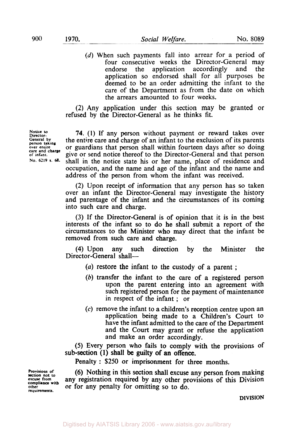(d) When such payments fall into arrear for a period of four consecutive weeks the Director-General may<br>endorse the application accordingly and the endorse the application accordingly and the application so endorsed shall for all purposes be deemed to be an order admitting the infant to the care of the Department as from the date on which the arrears amounted to four weeks.

(2) Any application under this section may be granted or refused by the Director-General as he thinks fit.

**74. (1)** If any person without payment or reward takes over the entire care and charge of an infant to the exclusion of its parents or guardians that person shall within fourteen days after so doing give or send notice thereof to the Director-General and that person shall in the notice state his or her name, place of residence and occupation, and the name and age of the infant and the name and address of the person from whom the infant was received.

(2) Upon receipt of information that any person has so taken over an infant the Director-General may investigate the history and parentage of the infant and the circumstances of its coming into such care and charge.

(3) If the Director-General is of opinion that it is in the best interests of the infant **so** to do he shall submit a report of the circumstances to the Minister who may direct that the infant be removed from such care and charge.

**(4)** Upon any such direction by the Minister the Director-General shall-

- *(a)* restore the infant to the custody of a parent ;
- (b) transfer the infant to the care of a registered person upon the parent entering into an agreement with such registered person for the payment of maintenance in respect of the infant ; or
- *(c)* remove the infant to a children's reception centre upon an application being made to a Children's Court to have the infant admitted to the care of the Department and the Court may grant or refuse the application and make an order accordingly.

*(5)* Every person who fails to comply with the provisions **of**  sub-section **(1)** shall be guilty of an offence.

Penalty : \$250 or imprisonment for three months.

**Provisions of section not to**<br>excuse from<br>compliance with **other requirements.** 

(6) Nothing in this section shall excuse any person from making any registration required by any other provisions of this Division **or** for any penalty for omitting so to do.

**DIVISION** 

**Notice to Director-**General by **person** taking **person taking over entire care and charge of infant. No. 6219 s. 68.**